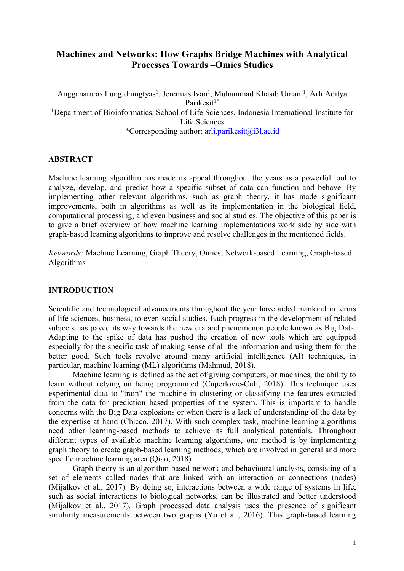# **Machines and Networks: How Graphs Bridge Machines with Analytical Processes Towards –Omics Studies**

Angganararas Lungidningtyas<sup>1</sup>, Jeremias Ivan<sup>1</sup>, Muhammad Khasib Umam<sup>1</sup>, Arli Aditya Parikesit<sup>1\*</sup> <sup>1</sup>Department of Bioinformatics, School of Life Sciences, Indonesia International Institute for Life Sciences \*Corresponding author: arli.parikesit@i3l.ac.id

#### **ABSTRACT**

Machine learning algorithm has made its appeal throughout the years as a powerful tool to analyze, develop, and predict how a specific subset of data can function and behave. By implementing other relevant algorithms, such as graph theory, it has made significant improvements, both in algorithms as well as its implementation in the biological field, computational processing, and even business and social studies. The objective of this paper is to give a brief overview of how machine learning implementations work side by side with graph-based learning algorithms to improve and resolve challenges in the mentioned fields.

*Keywords:* Machine Learning, Graph Theory, Omics, Network-based Learning, Graph-based Algorithms

#### **INTRODUCTION**

Scientific and technological advancements throughout the year have aided mankind in terms of life sciences, business, to even social studies. Each progress in the development of related subjects has paved its way towards the new era and phenomenon people known as Big Data. Adapting to the spike of data has pushed the creation of new tools which are equipped especially for the specific task of making sense of all the information and using them for the better good. Such tools revolve around many artificial intelligence (AI) techniques, in particular, machine learning (ML) algorithms (Mahmud, 2018).

Machine learning is defined as the act of giving computers, or machines, the ability to learn without relying on being programmed (Cuperlovic-Culf, 2018). This technique uses experimental data to "train" the machine in clustering or classifying the features extracted from the data for prediction based properties of the system. This is important to handle concerns with the Big Data explosions or when there is a lack of understanding of the data by the expertise at hand (Chicco, 2017). With such complex task, machine learning algorithms need other learning-based methods to achieve its full analytical potentials. Throughout different types of available machine learning algorithms, one method is by implementing graph theory to create graph-based learning methods, which are involved in general and more specific machine learning area (Qiao, 2018).

Graph theory is an algorithm based network and behavioural analysis, consisting of a set of elements called nodes that are linked with an interaction or connections (nodes) (Mijalkov et al., 2017). By doing so, interactions between a wide range of systems in life, such as social interactions to biological networks, can be illustrated and better understood (Mijalkov et al., 2017). Graph processed data analysis uses the presence of significant similarity measurements between two graphs (Yu et al., 2016). This graph-based learning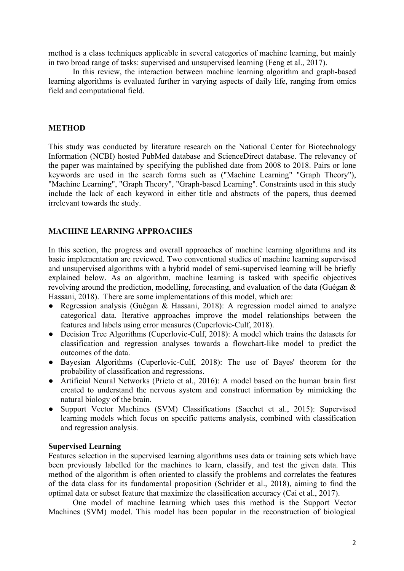method is a class techniques applicable in several categories of machine learning, but mainly in two broad range of tasks: supervised and unsupervised learning (Feng et al., 2017).

In this review, the interaction between machine learning algorithm and graph-based learning algorithms is evaluated further in varying aspects of daily life, ranging from omics field and computational field.

# **METHOD**

This study was conducted by literature research on the National Center for Biotechnology Information (NCBI) hosted PubMed database and ScienceDirect database. The relevancy of the paper was maintained by specifying the published date from 2008 to 2018. Pairs or lone keywords are used in the search forms such as ("Machine Learning" "Graph Theory"), "Machine Learning", "Graph Theory", "Graph-based Learning". Constraints used in this study include the lack of each keyword in either title and abstracts of the papers, thus deemed irrelevant towards the study.

# **MACHINE LEARNING APPROACHES**

In this section, the progress and overall approaches of machine learning algorithms and its basic implementation are reviewed. Two conventional studies of machine learning supervised and unsupervised algorithms with a hybrid model of semi-supervised learning will be briefly explained below. As an algorithm, machine learning is tasked with specific objectives revolving around the prediction, modelling, forecasting, and evaluation of the data (Guégan & Hassani, 2018). There are some implementations of this model, which are:

- Regression analysis (Guégan & Hassani, 2018): A regression model aimed to analyze categorical data. Iterative approaches improve the model relationships between the features and labels using error measures (Cuperlovic-Culf, 2018).
- Decision Tree Algorithms (Cuperlovic-Culf, 2018): A model which trains the datasets for classification and regression analyses towards a flowchart-like model to predict the outcomes of the data.
- Bayesian Algorithms (Cuperlovic-Culf, 2018): The use of Bayes' theorem for the probability of classification and regressions.
- Artificial Neural Networks (Prieto et al., 2016): A model based on the human brain first created to understand the nervous system and construct information by mimicking the natural biology of the brain.
- Support Vector Machines (SVM) Classifications (Sacchet et al., 2015): Supervised learning models which focus on specific patterns analysis, combined with classification and regression analysis.

#### **Supervised Learning**

Features selection in the supervised learning algorithms uses data or training sets which have been previously labelled for the machines to learn, classify, and test the given data. This method of the algorithm is often oriented to classify the problems and correlates the features of the data class for its fundamental proposition (Schrider et al., 2018), aiming to find the optimal data or subset feature that maximize the classification accuracy (Cai et al., 2017).

One model of machine learning which uses this method is the Support Vector Machines (SVM) model. This model has been popular in the reconstruction of biological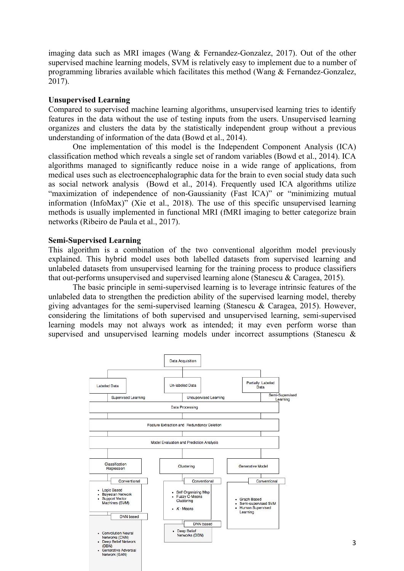imaging data such as MRI images (Wang & Fernandez-Gonzalez, 2017). Out of the other supervised machine learning models, SVM is relatively easy to implement due to a number of programming libraries available which facilitates this method (Wang & Fernandez-Gonzalez, 2017).

# **Unsupervised Learning**

Compared to supervised machine learning algorithms, unsupervised learning tries to identify features in the data without the use of testing inputs from the users. Unsupervised learning organizes and clusters the data by the statistically independent group without a previous understanding of information of the data (Bowd et al., 2014).

One implementation of this model is the Independent Component Analysis (ICA) classification method which reveals a single set of random variables (Bowd et al., 2014). ICA algorithms managed to significantly reduce noise in a wide range of applications, from medical uses such as electroencephalographic data for the brain to even social study data such as social network analysis (Bowd et al., 2014). Frequently used ICA algorithms utilize "maximization of independence of non-Gaussianity (Fast ICA)" or "minimizing mutual information (InfoMax)" (Xie et al., 2018). The use of this specific unsupervised learning methods is usually implemented in functional MRI (fMRI imaging to better categorize brain networks (Ribeiro de Paula et al., 2017).

# **Semi-Supervised Learning**

This algorithm is a combination of the two conventional algorithm model previously explained. This hybrid model uses both labelled datasets from supervised learning and unlabeled datasets from unsupervised learning for the training process to produce classifiers that out-performs unsupervised and supervised learning alone (Stanescu & Caragea, 2015).

The basic principle in semi-supervised learning is to leverage intrinsic features of the unlabeled data to strengthen the prediction ability of the supervised learning model, thereby giving advantages for the semi-supervised learning (Stanescu & Caragea, 2015). However, considering the limitations of both supervised and unsupervised learning, semi-supervised learning models may not always work as intended; it may even perform worse than supervised and unsupervised learning models under incorrect assumptions (Stanescu &

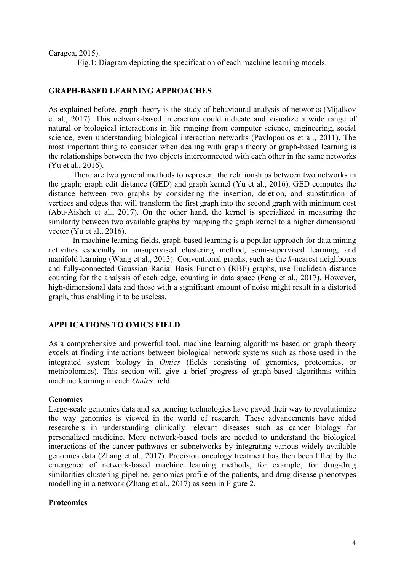Caragea, 2015).

Fig.1: Diagram depicting the specification of each machine learning models.

# **GRAPH-BASED LEARNING APPROACHES**

As explained before, graph theory is the study of behavioural analysis of networks (Mijalkov et al., 2017). This network-based interaction could indicate and visualize a wide range of natural or biological interactions in life ranging from computer science, engineering, social science, even understanding biological interaction networks (Pavlopoulos et al., 2011). The most important thing to consider when dealing with graph theory or graph-based learning is the relationships between the two objects interconnected with each other in the same networks (Yu et al., 2016).

There are two general methods to represent the relationships between two networks in the graph: graph edit distance (GED) and graph kernel (Yu et al., 2016). GED computes the distance between two graphs by considering the insertion, deletion, and substitution of vertices and edges that will transform the first graph into the second graph with minimum cost (Abu-Aisheh et al., 2017). On the other hand, the kernel is specialized in measuring the similarity between two available graphs by mapping the graph kernel to a higher dimensional vector (Yu et al., 2016).

In machine learning fields, graph-based learning is a popular approach for data mining activities especially in unsupervised clustering method, semi-supervised learning, and manifold learning (Wang et al., 2013). Conventional graphs, such as the *k-*nearest neighbours and fully-connected Gaussian Radial Basis Function (RBF) graphs, use Euclidean distance counting for the analysis of each edge, counting in data space (Feng et al., 2017). However, high-dimensional data and those with a significant amount of noise might result in a distorted graph, thus enabling it to be useless.

#### **APPLICATIONS TO OMICS FIELD**

As a comprehensive and powerful tool, machine learning algorithms based on graph theory excels at finding interactions between biological network systems such as those used in the integrated system biology in *Omics* (fields consisting of genomics, proteomics, or metabolomics). This section will give a brief progress of graph-based algorithms within machine learning in each *Omics* field.

#### **Genomics**

Large-scale genomics data and sequencing technologies have paved their way to revolutionize the way genomics is viewed in the world of research. These advancements have aided researchers in understanding clinically relevant diseases such as cancer biology for personalized medicine. More network-based tools are needed to understand the biological interactions of the cancer pathways or subnetworks by integrating various widely available genomics data (Zhang et al., 2017). Precision oncology treatment has then been lifted by the emergence of network-based machine learning methods, for example, for drug-drug similarities clustering pipeline, genomics profile of the patients, and drug disease phenotypes modelling in a network (Zhang et al., 2017) as seen in Figure 2.

#### **Proteomics**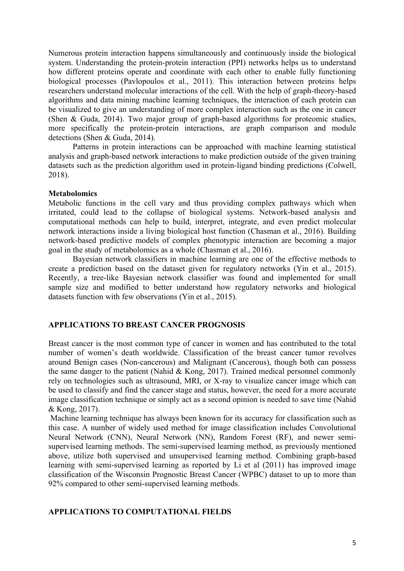Numerous protein interaction happens simultaneously and continuously inside the biological system. Understanding the protein-protein interaction (PPI) networks helps us to understand how different proteins operate and coordinate with each other to enable fully functioning biological processes (Pavlopoulos et al., 2011). This interaction between proteins helps researchers understand molecular interactions of the cell. With the help of graph-theory-based algorithms and data mining machine learning techniques, the interaction of each protein can be visualized to give an understanding of more complex interaction such as the one in cancer (Shen & Guda, 2014). Two major group of graph-based algorithms for proteomic studies, more specifically the protein-protein interactions, are graph comparison and module detections (Shen & Guda, 2014).

Patterns in protein interactions can be approached with machine learning statistical analysis and graph-based network interactions to make prediction outside of the given training datasets such as the prediction algorithm used in protein-ligand binding predictions (Colwell, 2018).

#### **Metabolomics**

Metabolic functions in the cell vary and thus providing complex pathways which when irritated, could lead to the collapse of biological systems. Network-based analysis and computational methods can help to build, interpret, integrate, and even predict molecular network interactions inside a living biological host function (Chasman et al., 2016). Building network-based predictive models of complex phenotypic interaction are becoming a major goal in the study of metabolomics as a whole (Chasman et al., 2016).

Bayesian network classifiers in machine learning are one of the effective methods to create a prediction based on the dataset given for regulatory networks (Yin et al., 2015). Recently, a tree-like Bayesian network classifier was found and implemented for small sample size and modified to better understand how regulatory networks and biological datasets function with few observations (Yin et al., 2015).

#### **APPLICATIONS TO BREAST CANCER PROGNOSIS**

Breast cancer is the most common type of cancer in women and has contributed to the total number of women's death worldwide. Classification of the breast cancer tumor revolves around Benign cases (Non-cancerous) and Malignant (Cancerous), though both can possess the same danger to the patient (Nahid & Kong, 2017). Trained medical personnel commonly rely on technologies such as ultrasound, MRI, or X-ray to visualize cancer image which can be used to classify and find the cancer stage and status, however, the need for a more accurate image classification technique or simply act as a second opinion is needed to save time (Nahid & Kong, 2017).

Machine learning technique has always been known for its accuracy for classification such as this case. A number of widely used method for image classification includes Convolutional Neural Network (CNN), Neural Network (NN), Random Forest (RF), and newer semisupervised learning methods. The semi-supervised learning method, as previously mentioned above, utilize both supervised and unsupervised learning method. Combining graph-based learning with semi-supervised learning as reported by Li et al (2011) has improved image classification of the Wisconsin Prognostic Breast Cancer (WPBC) dataset to up to more than 92% compared to other semi-supervised learning methods.

#### **APPLICATIONS TO COMPUTATIONAL FIELDS**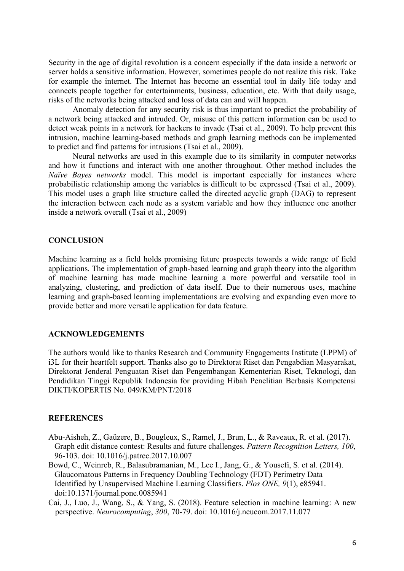Security in the age of digital revolution is a concern especially if the data inside a network or server holds a sensitive information. However, sometimes people do not realize this risk. Take for example the internet. The Internet has become an essential tool in daily life today and connects people together for entertainments, business, education, etc. With that daily usage, risks of the networks being attacked and loss of data can and will happen.

Anomaly detection for any security risk is thus important to predict the probability of a network being attacked and intruded. Or, misuse of this pattern information can be used to detect weak points in a network for hackers to invade (Tsai et al., 2009). To help prevent this intrusion, machine learning-based methods and graph learning methods can be implemented to predict and find patterns for intrusions (Tsai et al., 2009).

Neural networks are used in this example due to its similarity in computer networks and how it functions and interact with one another throughout. Other method includes the *Naïve Bayes networks* model. This model is important especially for instances where probabilistic relationship among the variables is difficult to be expressed (Tsai et al., 2009). This model uses a graph like structure called the directed acyclic graph (DAG) to represent the interaction between each node as a system variable and how they influence one another inside a network overall (Tsai et al., 2009)

#### **CONCLUSION**

Machine learning as a field holds promising future prospects towards a wide range of field applications. The implementation of graph-based learning and graph theory into the algorithm of machine learning has made machine learning a more powerful and versatile tool in analyzing, clustering, and prediction of data itself. Due to their numerous uses, machine learning and graph-based learning implementations are evolving and expanding even more to provide better and more versatile application for data feature.

# **ACKNOWLEDGEMENTS**

The authors would like to thanks Research and Community Engagements Institute (LPPM) of i3L for their heartfelt support. Thanks also go to Direktorat Riset dan Pengabdian Masyarakat, Direktorat Jenderal Penguatan Riset dan Pengembangan Kementerian Riset, Teknologi, dan Pendidikan Tinggi Republik Indonesia for providing Hibah Penelitian Berbasis Kompetensi DIKTI/KOPERTIS No. 049/KM/PNT/2018

#### **REFERENCES**

- Abu-Aisheh, Z., Gaüzere, B., Bougleux, S., Ramel, J., Brun, L., & Raveaux, R. et al. (2017). Graph edit distance contest: Results and future challenges. *Pattern Recognition Letters, 100*, 96-103. doi: 10.1016/j.patrec.2017.10.007
- Bowd, C., Weinreb, R., Balasubramanian, M., Lee I., Jang, G., & Yousefi, S. et al. (2014). Glaucomatous Patterns in Frequency Doubling Technology (FDT) Perimetry Data Identified by Unsupervised Machine Learning Classifiers. *Plos ONE, 9*(1), e85941. doi:10.1371/journal.pone.0085941
- Cai, J., Luo, J., Wang, S., & Yang, S. (2018). Feature selection in machine learning: A new perspective. *Neurocomputing*, *300*, 70-79. doi: 10.1016/j.neucom.2017.11.077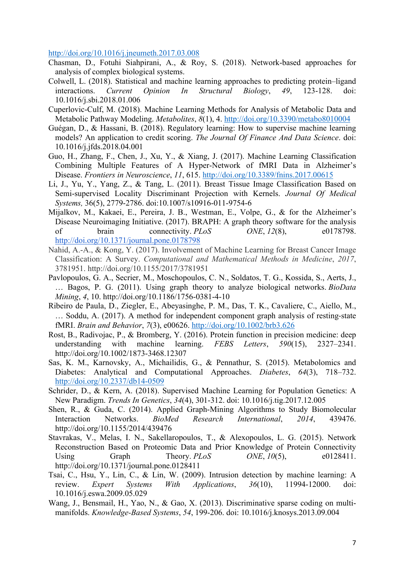http://doi.org/10.1016/j.jneumeth.2017.03.008

- Chasman, D., Fotuhi Siahpirani, A., & Roy, S. (2018). Network-based approaches for analysis of complex biological systems.
- Colwell, L. (2018). Statistical and machine learning approaches to predicting protein–ligand interactions. *Current Opinion In Structural Biology*, *49*, 123-128. doi: 10.1016/j.sbi.2018.01.006
- Cuperlovic-Culf, M. (2018). Machine Learning Methods for Analysis of Metabolic Data and Metabolic Pathway Modeling. *Metabolites*, *8*(1), 4. http://doi.org/10.3390/metabo8010004
- Guégan, D., & Hassani, B. (2018). Regulatory learning: How to supervise machine learning models? An application to credit scoring. *The Journal Of Finance And Data Science*. doi: 10.1016/j.jfds.2018.04.001
- Guo, H., Zhang, F., Chen, J., Xu, Y., & Xiang, J. (2017). Machine Learning Classification Combining Multiple Features of A Hyper-Network of fMRI Data in Alzheimer's Disease. *Frontiers in Neuroscience*, *11*, 615. http://doi.org/10.3389/fnins.2017.00615
- Li, J., Yu, Y., Yang, Z., & Tang, L. (2011). Breast Tissue Image Classification Based on Semi-supervised Locality Discriminant Projection with Kernels. *Journal Of Medical Systems,* 36(5), 2779-2786. doi:10.1007/s10916-011-9754-6
- Mijalkov, M., Kakaei, E., Pereira, J. B., Westman, E., Volpe, G., & for the Alzheimer's Disease Neuroimaging Initiative. (2017). BRAPH: A graph theory software for the analysis of brain connectivity. *PLoS ONE*, *12*(8), e0178798. http://doi.org/10.1371/journal.pone.0178798
- Nahid, A.-A., & Kong, Y. (2017). Involvement of Machine Learning for Breast Cancer Image Classification: A Survey. *Computational and Mathematical Methods in Medicine*, *2017*, 3781951. http://doi.org/10.1155/2017/3781951
- Pavlopoulos, G. A., Secrier, M., Moschopoulos, C. N., Soldatos, T. G., Kossida, S., Aerts, J., … Bagos, P. G. (2011). Using graph theory to analyze biological networks. *BioData Mining*, *4*, 10. http://doi.org/10.1186/1756-0381-4-10
- Ribeiro de Paula, D., Ziegler, E., Abeyasinghe, P. M., Das, T. K., Cavaliere, C., Aiello, M., … Soddu, A. (2017). A method for independent component graph analysis of resting-state fMRI. *Brain and Behavior*, *7*(3), e00626. http://doi.org/10.1002/brb3.626
- Rost, B., Radivojac, P., & Bromberg, Y. (2016). Protein function in precision medicine: deep understanding with machine learning. *FEBS Letters*, *590*(15), 2327–2341. http://doi.org/10.1002/1873-3468.12307
- Sas, K. M., Karnovsky, A., Michailidis, G., & Pennathur, S. (2015). Metabolomics and Diabetes: Analytical and Computational Approaches. *Diabetes*, *64*(3), 718–732. http://doi.org/10.2337/db14-0509
- Schrider, D., & Kern, A. (2018). Supervised Machine Learning for Population Genetics: A New Paradigm. *Trends In Genetics*, *34*(4), 301-312. doi: 10.1016/j.tig.2017.12.005
- Shen, R., & Guda, C. (2014). Applied Graph-Mining Algorithms to Study Biomolecular Interaction Networks. *BioMed Research International*, *2014*, 439476. http://doi.org/10.1155/2014/439476
- Stavrakas, V., Melas, I. N., Sakellaropoulos, T., & Alexopoulos, L. G. (2015). Network Reconstruction Based on Proteomic Data and Prior Knowledge of Protein Connectivity Using Graph Theory. *PLoS ONE*, 10(5), e0128411. http://doi.org/10.1371/journal.pone.0128411
- Tsai, C., Hsu, Y., Lin, C., & Lin, W. (2009). Intrusion detection by machine learning: A review. *Expert Systems With Applications*, *36*(10), 11994-12000. doi: 10.1016/j.eswa.2009.05.029
- Wang, J., Bensmail, H., Yao, N., & Gao, X. (2013). Discriminative sparse coding on multimanifolds. *Knowledge-Based Systems*, *54*, 199-206. doi: 10.1016/j.knosys.2013.09.004